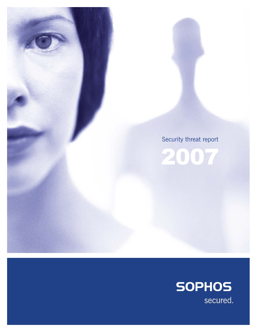

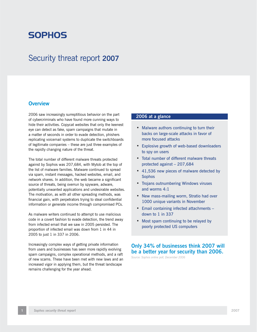# **SOPHOS**

# Security threat report **2007**

## **Overview**

2006 saw increasingly surreptitious behavior on the part of cybercriminals who have found more cunning ways to hide their activities. Copycat websites that only the keenest eye can detect as fake, spam campaigns that mutate in a matter of seconds in order to evade detection, phishers replicating voicemail systems to duplicate the switchboards of legitimate companies – these are just three examples of the rapidly changing nature of the threat.

The total number of different malware threats protected against by Sophos was 207,684, with Mytob at the top of the list of malware families. Malware continued to spread via spam, instant messages, hacked websites, email, and network shares. In addition, the web became a significant source of threats, being overrun by spyware, adware, potentially unwanted applications and undesirable websites. The motivation, as with all other spreading methods, was financial gain, with perpetrators trying to steal confidential information or generate income through compromised PCs.

As malware writers continued to attempt to use malicious code in a covert fashion to evade detection, the trend away from infected email that we saw in 2005 persisted. The proportion of infected email was down from 1 in 44 in 2005 to just 1 in 337 in 2006.

Increasingly complex ways of getting private information from users and businesses has seen more rapidly evolving spam campaigns, complex operational methods, and a raft of new scams. These have been met with new laws and an increased vigor in applying them, but the threat landscape remains challenging for the year ahead.

## **2006 at a glance**

- Malware authors continuing to turn their backs on large-scale attacks in favor of more focused attacks
- Explosive growth of web-based downloaders to spy on users
- Total number of different malware threats protected against – 207,684
- 41,536 new pieces of malware detected by Sophos
- Trojans outnumbering Windows viruses and worms 4:1
- New mass-mailing worm, Stratio had over 1000 unique variants in November
- Email containing infected attachments down to 1 in 337
- Most spam continuing to be relayed by poorly protected US computers

# **Only 34% of businesses think 2007 will be a better year for security than 2006.**

*Source: Sophos online poll, December 2006*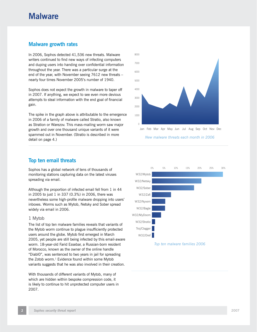# **Malware**

## **Malware growth rates**

In 2006, Sophos detected 41,536 new threats. Malware writers continued to find new ways of infecting computers and duping users into handing over confidential information throughout the year. There was a particular surge at the end of the year, with November seeing 7612 new threats – nearly four times November 2005's number of 1940.

Sophos does not expect the growth in malware to taper off in 2007. If anything, we expect to see even more devious attempts to steal information with the end goal of financial gain.

The spike in the graph above is attributable to the emergence in 2006 of a family of malware called Stratio, also known as Stration or Warezov. This mass-mailing worm saw major growth and over one thousand unique variants of it were spammed out in November. (Stratio is described in more detail on page 4.)

## **Top ten email threats**

Sophos has a global network of tens of thousands of monitoring stations capturing data on the latest viruses spreading via email.

Although the proportion of infected email fell from 1 in 44 in 2005 to just 1 in 337 (0.3%) in 2006, there was nevertheless some high-profile malware dropping into users' inboxes. Worms such as Mytob, Netsky and Sober spread widely via email in 2006.

#### 1 Mytob

The list of top ten malware families reveals that variants of the Mytob worm continue to plague insufficiently protected users around the globe. Mytob first emerged in March 2005, yet people are still being infected by this email-aware worm. 18-year-old Farid Essebar, a Russian-born resident of Morocco, known as the owner of the online handle "Diabl0", was sentenced to two years in jail for spreading the Zotob worm. $<sup>1</sup>$  Evidence found within some Mytob</sup> variants suggests that he was also involved in their creation.

With thousands of different variants of Mytob, many of which are hidden within bespoke compression code, it is likely to continue to hit unprotected computer users in 2007.





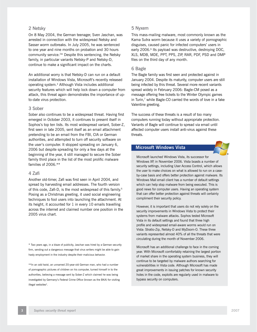#### 2 Netsky

On 8 May 2004, the German teenager, Sven Jaschan, was arrested in connection with the widespread Netsky and Sasser worm outbreaks. In July 2005, he was sentenced to one year and nine months on probation and 30 hours community service.2\* Despite this sentencing, the Netsky family, in particular variants Netsky-P and Netsky-D, continue to make a significant impact on the charts.

An additional worry is that Netsky-D can run on a default installation of Windows Vista, Microsoft's recently released operating system.3 Although Vista includes additional security features which will help lock down a computer from attack, this threat again demonstrates the importance of upto-date virus protection.

#### 3 Sober

Sober also continues to be a widespread threat. Having first emerged in October 2003, it continues to present itself in Sophos's top ten lists. Its most widespread variant, Sober-Z, first seen in late 2005, sent itself as an email attachment pretending to be an email from the FBI, CIA or German authorities, and attempted to turn off security software on the user's computer. It stopped spreading on January 6, 2006 but despite spreading for only a few days at the beginning of the year, it still managed to secure the Sober family third place in the list of the most prolific malware families of 2006.\*\*

### 4 Zafi

Another old-timer, Zafi was first seen in April 2004, and spread by harvesting email addresses. The fourth version of this code, Zafi-D, is the most widespread of this family.<sup>5</sup> Posing as a Christmas greeting, it used social engineering techniques to fool users into launching the attachment. At its height, it accounted for 1 in every 10 emails travelling across the internet and claimed number one position in the 2005 virus chart.

\* Two years ago, in a blaze of publicity, Jaschan was hired by a German security firm, sending out a dangerous message that virus writers might be able to gain hasty employment in the industry despite their malicious behavior.

\*\*In an odd twist, an unnamed 20-year-old German man, who had a number of pornographic pictures of children on his computer, turned himself in to the authorities, believing a message sent by Sober-Z which claimed he was being investigated by Germany's Federal Crime Office (known as the BKA) for visiting illegal websites<sup>4</sup>.

#### 5 Nyxem

This mass-mailing malware, most commonly known as the Kama Sutra worm because it uses a variety of pornographic disguises, caused panic for infected computers' users in early 2006.<sup>6</sup> Its payload was destructive, destroying DOC, XLS, MDB, MDE, PPT, PPS, ZIP, RAR, PDF, PSD and DMP files on the third day of any month.

#### 6 Bagle

The Bagle family was first seen and protected against in January 2004. Despite its maturity, computer users are still being infected by this threat. Several more recent variants spread widely in February 2006: Bagle-CM posed as a message offering free tickets to the Winter Olympic games in Turin, $<sup>7</sup>$  while Bagle-CO carried the words of love in a fake</sup> Valentine greeting.

The success of these threats is a result of too many computers running today without appropriate protection. Variants of Bagle will continue to spread via email until affected computer users install anti-virus against these threats.

## **Microsoft Windows Vista**



Microsoft launched Windows Vista, its successor for Windows XP, in November 2006. Vista boasts a number of security settings, including User Access Control, which allows the user to make choices on what is allowed to run on a caseby-case basis and offers better protection against malware. Its Windows Mail email client has a number of default settings which can help stop malware from being executed. This is good news for computer users. Having an operating system that can offer better protection against threats will certainly compliment their security policy.

However, it is important that users do not rely solely on the security improvements in Windows Vista to protect their systems from malware attacks. Sophos tested Microsoft Vista in its default settings and found that three high profile and widespread email-aware worms would run on Vista: Stratio-Zip, Netsky-D and MyDoom-O. These three variants represented almost 40% of all the threats that were circulating during the month of November 2006.

Microsoft has an additional challenge to face in the coming year. With Microsoft comfortably retaining the largest portion of market share in the operating system business, they will continue to be targeted by malware authors searching for vulnerabilities in Vista code. Although Microsoft has made great improvements in issuing patches for known security holes in the code, exploits are regularly used in malware to bypass security on computers.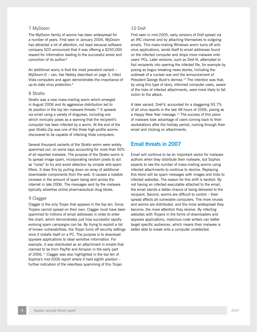#### 7 MyDoom

The MyDoom family of worms has been widespread for a number of years. First seen in January 2004, MyDoom has attracted a lot of attention, not least because software company SCO announced that it was offering a \$250,000 reward for information leading to the successful arrest and conviction of its author.8

An additional worry is that the most prevalent variant – MyDoom-O – can, like Netsky described on page 3, infect Vista computers and again demonstrates the importance of up-to-date virus protection.<sup>9</sup>

#### 8 Stratio

Stratio was a new mass-mailing worm which emerged in August 2006 and its aggressive distribution led to its position in the top ten malware threats.<sup>10</sup> It spreads via email using a variety of disguises, including one which ironically poses as a warning that the recipient's computer has been infected by a worm. At the end of the year Stratio-Zip was one of the three high-profile worms discovered to be capable of infecting Vista computers.

Several thousand variants of the Stratio worm were widely spammed out, on some days accounting for more than 50% of all reported malware. The purpose of the Stratio worm is to spread image spam, incorporating random pixels to act as "noise" to try and avoid detection by simpler anti-spam filters. It does this by pulling down an array of additional downloader components from the web. It caused a notable increase in the amount of spam being sent across the internet in late 2006. The messages sent by the malware typically advertise online pharmaceutical drug stores.

#### 9 Clagger

Clagger is the only Trojan that appears in the top ten. Since Trojans cannot spread on their own, Clagger must have been spammed to millions of email addresses in order to enter the chart, which demonstrates just how successful rapidly evolving spam campaigns can be. By trying to exploit a list of known vulnerabilities, the Trojan turns off security settings once it installs itself on a PC. The purpose is to download spyware applications to steal sensitive information. For example, it was distributed as an attachment in emails that claimed to be from PayPal and Amazon in the early part of 2006.11 Clagger was also highlighted in the top ten of Sophos's mid-2006 report where it held eighth position – further indication of the relentless spamming of this Trojan.

### 10 Dref

First seen in mid-2005, early versions of Dref spread via an IRC channel and by attaching themselves to outgoing emails. This mass-mailing Windows worm turns off antivirus applications, sends itself to email addresses found on the infected computer and drops more malware onto users' PCs. Later versions, such as Dref-N, attempted to fool recipients into opening the infected file, for example by posing as bogus breaking news stories, including the outbreak of a nuclear war and the announcement of President George Bush's demise.<sup>12</sup> The intention was that, by using this type of story, informed computer users, aware of the risks of infected attachments, were more likely to fall victim to the attack.

A later variant, Dref-V, accounted for a staggering 93.7% of all virus reports in the last 48 hours of 2006, posing as a Happy New Year message.<sup>13</sup> The success of this piece of malware took advantage of users coming back to their workstations after the holiday period, rushing through their email and clicking on attachments.

## **Email threats in 2007**

Email will continue to be an important vector for malware authors when they distribute their malware, but Sophos expects to see the number of mass-mailing worms using infected attachments to continue to decline. Replacing this trend will be spam messages with images and links to infected websites. The reason for this shift is twofold. By not having an infected executable attached to the email, the email stands a better chance of being delivered to the recipient. Second, worms are difficult to control – their spread affects all vulnerable computers. The more viruses and worms are distributed, and the more widespread they become, the more attention they receive. By infecting websites with Trojans in the forms of downloaders and spyware applications, malicious code writers can better target specific audiences, which means their malware is better able to sneak onto a computer undetected.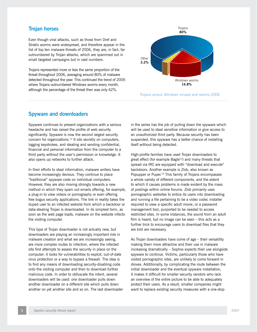## **Trojan horses**

Even though viral attacks, such as those from Dref and Stratio worms were widespread, and therefore appear in the list of top ten malware threats of 2006, they are, in fact, far outnumbered by Trojan attacks, which are spammed out in small targeted campaigns but in vast numbers.

Trojans represented more or less the same proportion of the threat throughout 2006, averaging around 80% of malware detected throughout the year. This continued the trend of 2005 where Trojans outnumbered Windows worms every month, although the percentage of the threat then was only 62%.



*Trojans versus Windows viruses and worms 2006*

## **Spyware and downloaders**

Spyware continues to present organizations with a serious headache and has raised the profile of web security significantly. Spyware is now the second largest security concern for organizations.14 It sits secretly on computers, logging keystrokes, and stealing and sending confidential, financial and personal information from the computer to a third party without the user's permission or knowledge. It also opens up networks to further attack.

In their efforts to steal information, malware writers have become increasingly devious. They continue to place "traditional" spyware code on individual computers. However, they are also moving strongly towards a new method in which they spam out emails offering, for example, a plug-in to view videos or pornography or even offering free bogus security applications. The link in reality takes the duped user to an infected website from which a backdoor or data-stealing Trojan is downloaded. In its simplest form, as soon as the web page loads, malware on the website infects the visiting computer.

This type of Trojan downloader is not actually new, but downloaders are playing an increasingly important role in malware creation and what we are increasingly seeing, are more complex routes to infection, where the infected site first attempts to assess the security in place on the computer: it looks for vulnerabilities to exploit, out-of-date virus protection or a way to bypass a firewall. The idea is to find any means of downloading security-disabling code onto the visiting computer and then to download further malicious code. In order to obfuscate the intent, several downloaders will be used: one downloader pulls down another downloader on a different site which pulls down another on yet another site and so on. The last downloader in the series has the job of pulling down the spyware which will be used to steal sensitive information or give access to an unauthorized third party. Because security has been suspended, this spyware has a better chance of installing itself without being detected.

High-profile families have used Trojan downloaders to great effect (for example Bagle<sup>15</sup>) and many threats that spread via IRC are equipped with "download and execute" backdoors. Another example is Zlob, also known as Popupper or Puper.<sup>16</sup> This family of Trojans encompasses a whole variety of different components, and the extent to which it causes problems is made evident by the mass of postings within online forums. Zlob primarily uses pornographic websites to entice its users into downloading and running a file pertaining to be a video codec installer required to view a specific adult movie, or a password management tool, purported to be needed to access restricted sites. In some instances, the sound from an adult film is heard, but no image can be seen  $-$  this acts as a further trick to encourage users to download files that they are told are necessary.

As Trojan downloaders have come of age – their versatility making them more attractive and their use in malware increasing dramatically – Sophos expects their use alongside spyware to continue. Victims, particularly those who have visited pornographic sites, are unlikely to come forward in droves. Additionally, by complicating the route between the initial downloader and the eventual spyware installation, it makes it difficult for smaller security vendors who lack an overview of the entire picture to be able to adequately protect their users. As a result, smaller companies might want to replace existing security measures with a one-stop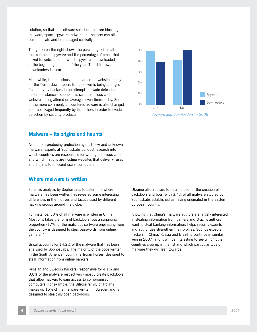solution, so that the software solutions that are blocking malware, spam, spyware, adware and hackers can all communicate and be managed centrally.

The graph on the right shows the percentage of email that contained spyware and the percentage of email that linked to websites from which spyware is downloaded at the beginning and end of the year. The shift towards downloaders is clear.

Meanwhile, the malicious code planted on websites ready for the Trojan downloaders to pull down is being changed frequently by hackers in an attempt to evade detection. In some instances, Sophos has seen malicious code on websites being altered on average seven times a day. Some of the more commonly encountered adware is also changed and repackaged frequently by its authors in order to evade detection by security products.

## **Malware – its origins and haunts**

Aside from producing protection against new and unknown malware, experts at SophosLabs conduct research into which countries are responsible for writing malicious code, and which nations are hosting websites that deliver viruses and Trojans to innocent users' computers.

## **Where malware is written**

Forensic analysis by SophosLabs to determine where malware has been written has revealed some interesting differences in the motives and tactics used by different hacking groups around the globe.

For instance, 30% of all malware is written in China. Most of it takes the form of backdoors, but a surprising proportion (17%) of the malicious software originating from the country is designed to steal passwords from online gamers.<sup>17</sup>

Brazil accounts for 14.2% of the malware that has been analysed by SophosLabs. The majority of the code written in the South American country is Trojan horses, designed to steal information from online bankers.

Russian and Swedish hackers (responsible for 4.1% and 3.8% of the malware respectively) mostly create backdoors that allow hackers to gain access to compromised computers. For example, the Bifrose family of Trojans makes up 15% of the malware written in Sweden and is designed to stealthily open backdoors.



Knowing that China's malware authors are largely interested in stealing information from gamers and Brazil's authors want to steal banking information, helps security experts and authorities strengthen their profiles. Sophos expects hackers in China, Russia and Brazil to continue in similar vein in 2007, and it will be interesting to see which other countries crop up in the list and which particular type of malware they will lean towards.

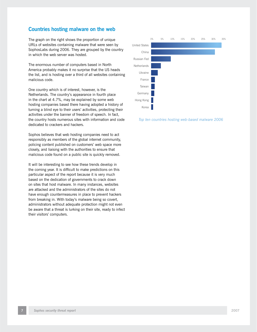## **Countries hosting malware on the web**

The graph on the right shows the proportion of unique URLs of websites containing malware that were seen by SophosLabs during 2006. They are grouped by the country in which the web server was hosted.

The enormous number of computers based in North America probably makes it no surprise that the US heads the list, and is hosting over a third of all websites containing malicious code.

One country which is of interest, however, is the Netherlands. The country's appearance in fourth place in the chart at 4.7%, may be explained by some web hosting companies based there having adopted a history of turning a blind eye to their users' activities, protecting their activities under the banner of freedom of speech. In fact, the country hosts numerous sites with information and code dedicated to crackers and hackers.

Sophos believes that web hosting companies need to act responsibly as members of the global internet community, policing content published on customers' web space more closely, and liaising with the authorities to ensure that malicious code found on a public site is quickly removed.

It will be interesting to see how these trends develop in the coming year. It is difficult to make predictions on this particular aspect of the report because it is very much based on the dedication of governments to crack down on sites that host malware. In many instances, websites are attacked and the administrators of the sites do not have enough countermeasures in place to prevent hackers from breaking in. With today's malware being so covert, administrators without adequate protection might not even be aware that a threat is lurking on their site, ready to infect their visitors' computers.



 *Top ten countries hosting web-based malware 2006*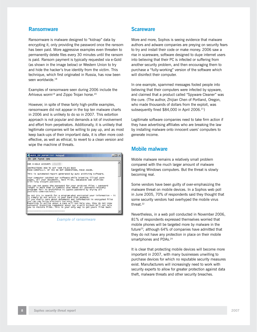## **Ransomware**

Ransomware is malware designed to "kidnap" data by encrypting it, only providing the password once the ransom has been paid. More aggressive examples even threaten to permanently delete files every 30 minutes until the ransom is paid. Ransom payment is typically requested via e-Gold (as shown in the image below) or Western Union to try and hide the hacker's true identity from the victim. This technique, which first originated in Russia, has now been seen worldwide.<sup>18</sup>

Examples of ransomware seen during 2006 include the Arhiveus worm<sup>19</sup> and Zippo Trojan horse.<sup>20</sup>

However, in spite of these fairly high-profile examples, ransomware did not appear in the top ten malware charts in 2006 and is unlikely to do so in 2007. This extortion approach is not popular and demands a lot of involvement and effort from perpetrators. Additionally, it is unlikely that legitimate companies will be willing to pay up, and as most keep back-ups of their important data, it is often more costeffective, as well as ethical, to revert to a clean version and wipe the machine of threats.



*Example of ransomware*

## **Scareware**

More and more, Sophos is seeing evidence that malware authors and adware companies are preying on security fears to try and install their code or make money. 2006 saw a rise in scareware, software designed to dupe internet users into believing that their PC is infected or suffering from another security problem, and then encouraging them to purchase a "fully-working" version of the software which will disinfect their computer.

In one example, spammed messages fooled people into believing that their computers were infected by spyware, and claimed that a product called "Spyware Cleaner" was the cure. (The author, Zhijian Chen of Portland, Oregon, who made thousands of dollars from the exploit, was subsequently fined  $$84,000$  in April 2006.<sup>21</sup>)

Legitimate software companies need to take firm action if they have advertising affiliates who are breaking the law by installing malware onto innocent users' computers to generate income.

## **Mobile malware**

Mobile malware remains a relatively small problem compared with the much larger amount of malware targeting Windows computers. But the threat is slowly becoming real.

Some vendors have been guilty of over-emphasizing the malware threat on mobile devices. In a Sophos web poll in June 2005, 70% of respondents said they thought that some security vendors had overhyped the mobile virus threat.<sup>22</sup>

Nevertheless, in a web poll conducted in November 2006, 81% of respondents expressed themselves worried that mobile phones will be targeted more by malware in the future23*,* although 64% of companies have admitted that they do not have any protection in place on their mobile smartphones and PDAs.<sup>24</sup>

It is clear that protecting mobile devices will become more important in 2007, with many businesses unwilling to purchase devices for which no reputable security measures exist. Manufacturers will increasingly need to work with security experts to allow for greater protection against data theft, malware threats and other security breaches.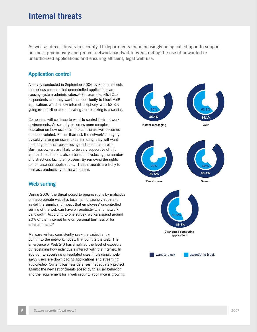# **Internal threats**

As well as direct threats to security, IT departments are increasingly being called upon to support business productivity and protect network bandwidth by restricting the use of unwanted or unauthorized applications and ensuring efficient, legal web use.

## **Application control**

A survey conducted in September 2006 by Sophos reflects the serious concern that uncontrolled applications are causing system administrators.25 For example, 86.1% of respondents said they want the opportunity to block VoIP applications which allow internet telephony, with 62.8% going even further and indicating that blocking is essential.

Companies will continue to want to control their network environments. As security becomes more complex, education on how users can protect themselves becomes more convoluted. Rather than risk the network's integrity by solely relying on users' understanding, they will want to strengthen their obstacles against potential threats. Business owners are likely to be very supportive of this approach, as there is also a benefit in reducing the number of distractions facing employees. By removing the rights to non-essential applications, IT departments are likely to increase productivity in the workplace.

## **Web surfing**

During 2006, the threat posed to organizations by malicious or inappropriate websites became increasingly apparent as did the significant impact that employees' uncontrolled surfing of the web can have on productivity and network bandwidth. According to one survey, workers spend around 20% of their internet time on personal business or for entertainment.26

Malware writers consistently seek the easiest entry point into the network. Today, that point is the web. The emergence of Web 2.0 has amplified the level of exposure by redefining how individuals interact with the internet. In addition to accessing unregulated sites, increasingly websavvy users are downloading applications and streaming audio/video. Current business defenses inadequately protect against the new set of threats posed by this user behavior and the requirement for a web security appliance is growing.

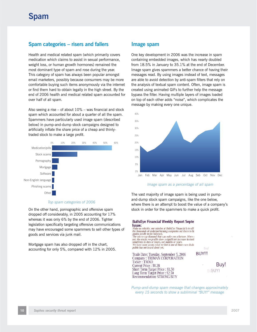# **Spam categories – risers and fallers**

Health and medical related spam (which primarily covers medication which claims to assist in sexual performance, weight loss, or human growth hormones) remained the most dominant type of spam and rose during the year. This category of spam has always been popular amongst email marketers, possibly because consumers may be more comfortable buying such items anonymously via the internet or find them hard to obtain legally in the high street. By the end of 2006 health and medical related spam accounted for over half of all spam.

Also seeing a rise – of about  $10\%$  – was financial and stock spam which accounted for about a quarter of all the spam. Spammers have particularly used image spam (described below) in pump-and-dump stock campaigns designed to artificially inflate the share price of a cheap and thinlytraded stock to make a large profit.



#### *Top spam categories of 2006*

On the other hand, pornographic and offensive spam dropped off considerably, in 2005 accounting for 17% whereas it was only 6% by the end of 2006. Tighter legislation specifically targeting offensive communications may have encouraged some spammers to sell other types of goods and services via junk mail.

Mortgage spam has also dropped off in the chart, accounting for only 5%, compared with 12% in 2005.

#### **Image spam**

One key development in 2006 was the increase in spam containing embedded images, which has nearly doubled from 18.5% in January to 35.1% at the end of December. Image spam gives spammers a better chance of having their messages read. By using images instead of text, messages are able to avoid detection by anti-spam filters that rely on the analysis of textual spam content. Often, image spam is created using animated GIFs to further help the message bypass the filter. Having multiple layers of images loaded on top of each other adds "noise", which complicates the message by making every one unique.



#### *Image spam as a percentage of all spam*

The vast majority of image spam is being used in pumpand-dump stock spam campaigns, like the one below, where there is an attempt to boost the value of a company's stock in order for the spammers to make a quick profit.

#### **BullsEye Financial Weekly Report Septer** Issue:

Make no mistake, our mission at BullsEye Financial is to sift the thousands of underperforming companies out there to fit<br>golden needle in the haystack. The micro-cap diamond that can make you a fortune. More o not, the stocks we profile show a significant increase in stock sometimes in days or hours, not months or years.<br>We have come across what we feel is one of those rare deals public has not heard about yet.

Trade Date: Tuesday, September 5, 2006 Company: TRIMAX CORPORATION Ticker: TMXO Current Price: \$0.38 Short Term Target Price: \$1.50 Long Term Target Price: \$2.50 **Recommendation: STRONG BUY** 

BUY!!!

Buy! **BIBUY!** 

*Pump-and-dump spam message that changes approximately every 15 seconds to show a subliminal "BUY!" message*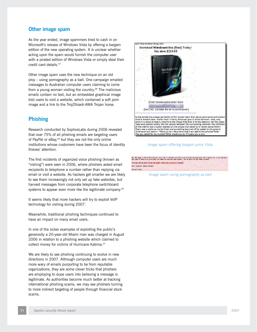## **Other image spam**

As the year ended, image spammers tried to cash in on Microsoft's release of Windows Vista by offering a bargain edition of the new operating system. It is unclear whether acting upon the spam would furnish the computer user with a pirated edition of Windows Vista or simply steal their credit card details.27

Other image spam uses the new technique on an old ploy – using pornography as a bait. One campaign emailed messages to Australian computer users claiming to come from a young woman visiting the country.<sup>28</sup> The malicious emails contain no text, but an embedded graphical image told users to visit a website, which contained a soft porn image and a link to the Troj/Dloadr-AMA Trojan horse.

# **Phishing**

Research conducted by SophosLabs during 2006 revealed that over 75% of all phishing emails are targeting users of PayPal or eBay,<sup>29</sup> but they are not the only online institutions whose customers have been the focus of identity thieves' attention.

The first incidents of organized voice phishing (known as "vishing") were seen in 2006, where phishers asked email recipients to telephone a number rather than replying via email or visit a website. As hackers get smarter we are likely to see them increasingly not only set up fake websites, but harvest messages from corporate telephone switchboard systems to appear even more like the legitimate company.<sup>30</sup>

It seems likely that more hackers will try to exploit VoIP technology for vishing during 2007.

Meanwhile, traditional phishing techniques continued to have an impact on many email users.

In one of the sicker examples of exploiting the public's generosity a 20-year-old Miami man was charged in August 2006 in relation to a phishing website which claimed to collect money for victims of Hurricane Katrina.<sup>31</sup>

We are likely to see phishing continuing to evolve in new directions in 2007. Although computer users are much more wary of emails purporting to be from reputable organizations, they are some clever tricks that phishers are employing to dupe users into believing a message is legitimate. As authorities become much better at tracking international phishing scams, we may see phishers turning to more indirect targeting of people through financial stock scams.



#### *Image spam offering bargain price Vista*

Hi, Hy mane is Vicky Willington, I'm just a college girl who just acrived in Australia and looking for a sex<br>All what I meed is a good nam, you must be serious and homest. Let ne know if you wish to meat. You nay one my pine at my wab page: http://www.wpine.com/au/ UNLT SERIOUS OFFINE FLERSE Risses Vicky

 *Image spam using pornography as bait*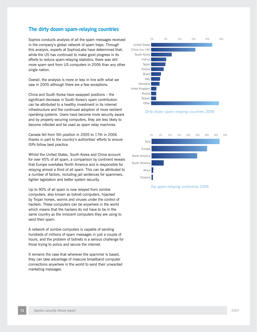# **The dirty dozen spam-relaying countries**

Sophos conducts analysis of all the spam messages received in the company's global network of spam traps. Through this analysis, experts at SophosLabs have determined that, while the US has continued to make good progress in its efforts to reduce spam-relaying statistics, there was still more spam sent from US computers in 2006 than any other single nation.

Overall, the analysis is more or less in line with what we saw in 2005 although there are a few exceptions.

China and South Korea have swapped positions – the significant decrease in South Korea's spam contribution can be attributed to a healthy investment in its internet infrastructure and the continued adoption of more resilient operating systems. Users have become more security aware and by properly securing computers, they are less likely to become infected and be used as spam relay machines.

Canada fell from 5th position in 2005 to 17th in 2006 thanks in part to the country's authorities' efforts to ensure ISPs follow best practice.

Whilst the United States, South Korea and China account for over 45% of all spam, a comparison by continent reveals that Europe overtakes North America and is responsible for relaying almost a third of all spam. This can be attributed to a number of factors, including jail sentences for spammers, tighter legislation and better system security.

Up to 90% of all spam is now relayed from zombie computers, also known as botnet computers, hijacked by Trojan horses, worms and viruses under the control of hackers. These computers can be anywhere in the world which means that the hackers do not have to be in the same country as the innocent computers they are using to send their spam.

A network of zombie computers is capable of sending hundreds of millions of spam messages in just a couple of hours, and the problem of botnets is a serious challenge for those trying to police and secure the internet.

It remains the case that wherever the spammer is based, they can take advantage of insecure broadband computer connections anywhere in the world to send their unwanted marketing messages.



*Dirty dozen spam-relaying countries 2006*



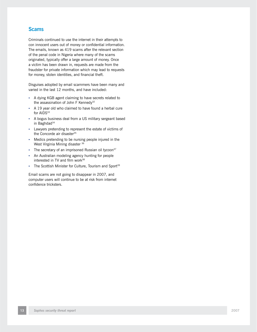## **Scams**

Criminals continued to use the internet in their attempts to con innocent users out of money or confidential information. The emails, known as 419 scams after the relevant section of the penal code in Nigeria where many of the scams originated, typically offer a large amount of money. Once a victim has been drawn in, requests are made from the fraudster for private information which may lead to requests for money, stolen identities, and financial theft.

Disguises adopted by email scammers have been many and varied in the last 12 months, and have included:

- A dying KGB agent claiming to have secrets related to the assassination of John F Kennedy<sup>32</sup>
- A 19 year old who claimed to have found a herbal cure for AIDS<sup>33</sup>
- A bogus business deal from a US military sergeant based in Baghdad<sup>34</sup> •
- Lawyers pretending to represent the estate of victims of the Concorde air disaster<sup>35</sup>
- Medics pretending to be nursing people injured in the West Virginia Mining disaster 36
- The secretary of an imprisoned Russian oil tycoon $37$
- An Australian modeling agency hunting for people interested in TV and film work<sup>38</sup>
- The Scottish Minister for Culture, Tourism and Sport<sup>39</sup>

Email scams are not going to disappear in 2007, and computer users will continue to be at risk from internet confidence tricksters.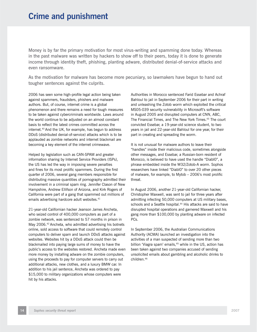Money is by far the primary motivation for most virus-writing and spamming done today. Whereas in the past malware was written by hackers to show off to their peers, today it is done to generate income through identity theft, phishing, planting adware, distributed denial-of-service attacks and even ransomware.

As the motivation for malware has become more pecuniary, so lawmakers have begun to hand out tougher sentences against the culprits.

2006 has seen some high-profile legal action being taken against spammers, fraudsters, phishers and malware authors. But, of course, internet crime is a global phenomenon and there remains a need for tough measures to be taken against cybercriminals worldwide. Laws around the world continue to be adjusted on an almost constant basis to reflect the latest crimes committed across the internet.40 And the UK, for example, has begun to address DDoS (distributed denial-of-service) attacks which is to be applauded as zombie networks and internet blackmail are becoming a key element of the internet crimewave.

Helped by legislation such as CAN-SPAM and greater information sharing by Internet Service Providers (ISPs), the US has led the way in imposing severe penalties and fines for its most prolific spammers. During the first quarter of 2006, several gang members responsible for distributing massive quantities of pornography admitted their involvement in a criminal spam ring. Jennifer Clason of New Hampshire, Andrew Ellifson of Arizona, and Kirk Rogers of California were part of a gang that spammed out millions of emails advertising hardcore adult websites.<sup>41</sup>

21-year-old Californian hacker Jeanson James Ancheta, who seized control of 400,000 computers as part of a zombie network, was sentenced to 57 months in prison in May 2006.42 Ancheta, who admitted advertising his botnets online, sold access to software that could remotely control computers to deliver spam and launch DDoS attacks against websites. Websites hit by a DDoS attack could then be blackmailed into paying large sums of money to have the public's access to the websites restored. Ancheta made even more money by installing adware on the zombie computers, using the proceeds to pay for computer servers to carry out additional attacks, new clothes, and a luxury BMW car. In addition to his jail sentence, Ancheta was ordered to pay \$15,000 to military organizations whose computers were hit by his attacks.

Authorities in Morocco sentenced Farid Essebar and Achraf Bahloul to jail in September 2006 for their part in writing and unleashing the Zotob worm which exploited the critical MS05-039 security vulnerability in Microsoft's software in August 2005 and disrupted computers at CNN, ABC, The Financial Times, and The New York Times.<sup>43</sup> The court convicted Essebar, a 19-year-old science student, to two years in jail and 22-year-old Bahloul for one year, for their part in creating and spreading the worm.

It is not unusual for malware authors to leave their "handles" inside their malicious code, sometimes alongside other messages, and Essebar, a Russian-born resident of Morocco, is believed to have used the handle "Diabl0", a phrase embedded inside the W32/Zotob-A worm. Sophos researchers have linked "Diabl0" to over 20 other pieces of malware, for example, to Mytob  $-2006$ 's most prolific threat.

In August 2006, another 21-year-old Californian hacker, Christopher Maxwell, was sent to jail for three years after admitting infecting 50,000 computers at US military bases, schools and a Seattle hospital.<sup>44</sup> His attacks are said to have disrupted hospital operations and garnered Maxwell and his gang more than \$100,000 by planting adware on infected PCs.

In September 2006, the Australian Communications Authority (ACMA) launched an investigation into the activities of a man suspected of sending more than two billion 'Viagra spam' emails,<sup>45</sup> while in the US, action has been taken against two companies accused of sending unsolicited emails about gambling and alcoholic drinks to children.46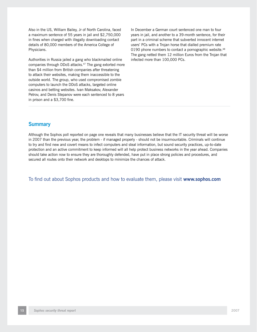Also in the US, William Bailey, Jr of North Carolina, faced a maximum sentence of 55 years in jail and \$2,750,000 in fines when charged with illegally downloading contact details of 80,000 members of the America College of Physicians.

Authorities in Russia jailed a gang who blackmailed online companies through DDoS attacks.<sup>47</sup> The gang extorted more than \$4 million from British companies after threatening to attack their websites, making them inaccessible to the outside world. The group, who used compromised zombie computers to launch the DDoS attacks, targeted online casinos and betting websites. Ivan Maksakov, Alexander Petrov, and Denis Stepanov were each sentenced to 8 years in prison and a \$3,700 fine.

In December a German court sentenced one man to four years in jail, and another to a 39-month sentence, for their part in a criminal scheme that subverted innocent internet users' PCs with a Trojan horse that dialled premium rate 0190 phone numbers to contact a pornographic website.<sup>48</sup> The gang netted them 12 million Euros from the Trojan that infected more than 100,000 PCs.

## **Summary**

Although the Sophos poll reported on page one reveals that many businesses believe that the IT security threat will be worse in 2007 than the previous year, the problem - if managed properly - should not be insurmountable. Criminals will continue to try and find new and covert means to infect computers and steal information, but sound security practices, up-to-date protection and an active commitment to keep informed will all help protect business networks in the year ahead. Companies should take action now to ensure they are thoroughly defended, have put in place strong policies and procedures, and secured all routes onto their network and desktops to minimize the chances of attack.

To find out about Sophos products and how to evaluate them, please visit **www.sophos.com**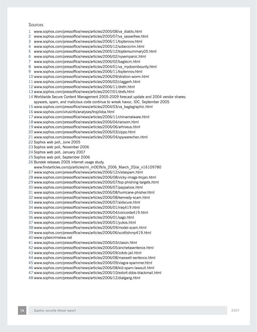#### Sources

- 1 www.sophos.com/pressoffice/news/articles/2005/08/va\_diablo.html
- 2 www.sophos.com/pressoffice/news/articles/2005/07/va\_sasserfree.html
- www.sophos.com/pressoffice/news/articles/2006/11/toptennov.html 3
- www.sophos.com/pressoffice/news/articles/2005/12/soberzcrim.html 4
- 5 www.sophos.com/pressoffice/news/articles/2005/12/toptensummary05.html
- 6 www.sophos.com/pressoffice/news/articles/2006/02/nyxempanic.html
- www.sophos.com/pressoffice/news/articles/2006/02/baglecm.html 7
- 8 www.sophos.com/pressoffice/news/articles/2004/01/va\_mydoombounty.html
- 9 www.sophos.com/pressoffice/news/articles/2006/11/toptennov.html
- 10 www.sophos.com/pressoffice/news/articles/2006/09/stration-worm.html
- 11 www.sophos.com/pressoffice/news/articles/2006/02/claggerh.html
- 12 www.sophos.com/pressoffice/news/articles/2006/11/drefn.html
- 13 www.sophos.com/pressoffice/news/articles/2007/01/drefv.html
- Worldwide Secure Content Management 2005-2009 forecast update and 2004 vendor shares: 14 spyware, spam, and malicious code continue to wreak havoc. IDC. September 2005
- 15 www.sophos.com/pressoffice/news/articles/2004/03/va\_baglegraphic.html
- 16 www.sophos.com/virusinfo/analyses/trojzloba.html
- 17 www.sophos.com/pressoffice/news/articles/2006/11/chinamalware.html
- 18 www.sophos.com/pressoffice/news/articles/2006/04/ransom.html
- 19 www.sophos.com/pressoffice/news/articles/2006/06/arhiveus.html
- 20 www.sophos.com/pressoffice/news/articles/2006/03/zippo.html
- 21 www.sophos.com/pressoffice/news/articles/2006/04/spywarechen.html
- 22 Sophos web poll, June 2005
- 23 Sophos web poll, November 2006
- 24 Sophos web poll, January 2007
- 25 Sophos web poll, September 2006
- 26 Burstek releases 2005 internet usage study.
- www.findarticles.com/p/articles/mi\_m0EIN/is\_2006\_March\_20/ai\_n16109780
- 27 www.sophos.com/pressoffice/news/articles/2006/12/vistaspam.html
- 28 www.sophos.com/pressoffice/news/articles/2006/08/vicky-image-trojan.html
- 29 www.sophos.com/pressoffice/news/articles/2006/07/top-phishing-targets.html
- 30 www.sophos.com/pressoffice/news/articles/2006/07/paypalvox.html
- 31 www.sophos.com/pressoffice/news/articles/2006/08/hurricane-phisher.html
- 32 www.sophos.com/pressoffice/news/articles/2006/08/kennedy-scam.html
- 33 www.sophos.com/pressoffice/news/articles/2006/07/aidscure.html
- 34 www.sophos.com/pressoffice/news/articles/2006/01/iraq419.html
- 35 www.sophos.com/pressoffice/news/articles/2006/04/concorde419.html
- 36 www.sophos.com/pressoffice/news/articles/2006/01/sago.html
- 37 www.sophos.com/pressoffice/news/articles/2006/01/yukos.html
- 38 www.sophos.com/pressoffice/news/articles/2006/09/model-scam.html
- 39 www.sophos.com/pressoffice/news/articles/2006/06/scottishmp419.html
- 40 www.cybercrimelaw.net
- 41 www.sophos.com/pressoffice/news/articles/2006/03/clason.html
- 42 www.sophos.com/pressoffice/news/articles/2006/05/anchetasentence.html
- 43 www.sophos.com/pressoffice/news/articles/2006/09/zotob-jail.html
- 44 www.sophos.com/pressoffice/news/articles/2006/08/maxwell-sentence.html
- 45 www.sophos.com/pressoffice/news/articles/2006/09/viagra-spammer.html
- 46 www.sophos.com/pressoffice/news/articles/2006/08/kid-spam-lawsuit.html
- 47 www.sophos.com/pressoffice/news/articles/2006/10/extort-ddos-blackmail.html
- 48 www.sophos.com/pressoffice/news/articles/2006/12/dialgang.html